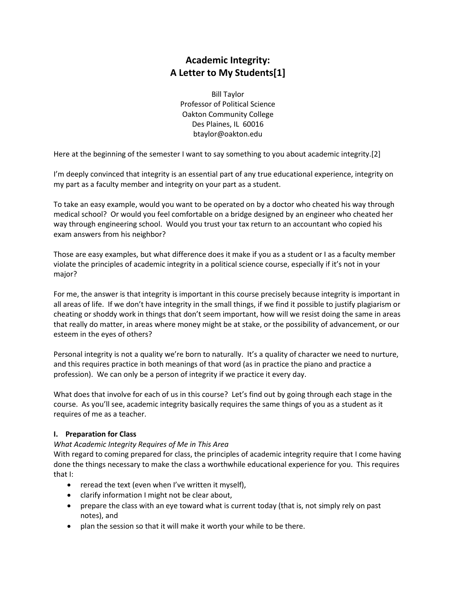# **Academic Integrity: A Letter to My Students[1]**

Bill Taylor Professor of Political Science Oakton Community College Des Plaines, IL 60016 btaylor@oakton.edu

Here at the beginning of the semester I want to say something to you about academic integrity.[2]

I'm deeply convinced that integrity is an essential part of any true educational experience, integrity on my part as a faculty member and integrity on your part as a student.

To take an easy example, would you want to be operated on by a doctor who cheated his way through medical school? Or would you feel comfortable on a bridge designed by an engineer who cheated her way through engineering school. Would you trust your tax return to an accountant who copied his exam answers from his neighbor?

Those are easy examples, but what difference does it make if you as a student or I as a faculty member violate the principles of academic integrity in a political science course, especially if it's not in your major?

For me, the answer is that integrity is important in this course precisely because integrity is important in all areas of life. If we don't have integrity in the small things, if we find it possible to justify plagiarism or cheating or shoddy work in things that don't seem important, how will we resist doing the same in areas that really do matter, in areas where money might be at stake, or the possibility of advancement, or our esteem in the eyes of others?

Personal integrity is not a quality we're born to naturally. It's a quality of character we need to nurture, and this requires practice in both meanings of that word (as in practice the piano and practice a profession). We can only be a person of integrity if we practice it every day.

What does that involve for each of us in this course? Let's find out by going through each stage in the course. As you'll see, academic integrity basically requires the same things of you as a student as it requires of me as a teacher.

## **I. Preparation for Class**

## *What Academic Integrity Requires of Me in This Area*

With regard to coming prepared for class, the principles of academic integrity require that I come having done the things necessary to make the class a worthwhile educational experience for you. This requires that I:

- reread the text (even when I've written it myself),
- clarify information I might not be clear about,
- prepare the class with an eye toward what is current today (that is, not simply rely on past notes), and
- plan the session so that it will make it worth your while to be there.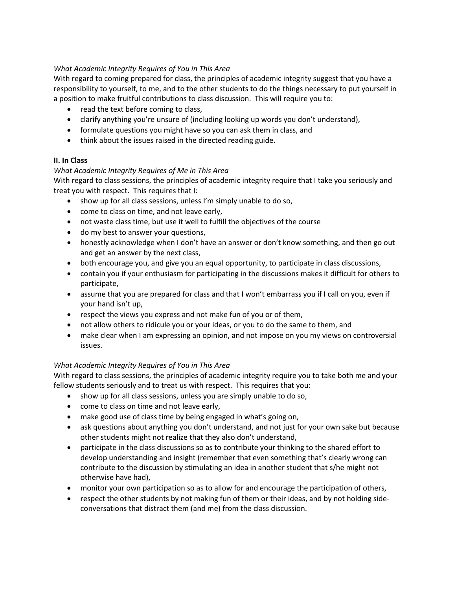# *What Academic Integrity Requires of You in This Area*

With regard to coming prepared for class, the principles of academic integrity suggest that you have a responsibility to yourself, to me, and to the other students to do the things necessary to put yourself in a position to make fruitful contributions to class discussion. This will require you to:

- read the text before coming to class,
- clarify anything you're unsure of (including looking up words you don't understand),
- formulate questions you might have so you can ask them in class, and
- think about the issues raised in the directed reading guide.

# **II. In Class**

# *What Academic Integrity Requires of Me in This Area*

With regard to class sessions, the principles of academic integrity require that I take you seriously and treat you with respect. This requires that I:

- show up for all class sessions, unless I'm simply unable to do so,
- come to class on time, and not leave early,
- not waste class time, but use it well to fulfill the objectives of the course
- do my best to answer your questions,
- honestly acknowledge when I don't have an answer or don't know something, and then go out and get an answer by the next class,
- both encourage you, and give you an equal opportunity, to participate in class discussions,
- contain you if your enthusiasm for participating in the discussions makes it difficult for others to participate,
- assume that you are prepared for class and that I won't embarrass you if I call on you, even if your hand isn't up,
- respect the views you express and not make fun of you or of them,
- not allow others to ridicule you or your ideas, or you to do the same to them, and
- make clear when I am expressing an opinion, and not impose on you my views on controversial issues.

## *What Academic Integrity Requires of You in This Area*

With regard to class sessions, the principles of academic integrity require you to take both me and your fellow students seriously and to treat us with respect. This requires that you:

- show up for all class sessions, unless you are simply unable to do so,
- come to class on time and not leave early,
- make good use of class time by being engaged in what's going on,
- ask questions about anything you don't understand, and not just for your own sake but because other students might not realize that they also don't understand,
- participate in the class discussions so as to contribute your thinking to the shared effort to develop understanding and insight (remember that even something that's clearly wrong can contribute to the discussion by stimulating an idea in another student that s/he might not otherwise have had),
- monitor your own participation so as to allow for and encourage the participation of others,
- respect the other students by not making fun of them or their ideas, and by not holding sideconversations that distract them (and me) from the class discussion.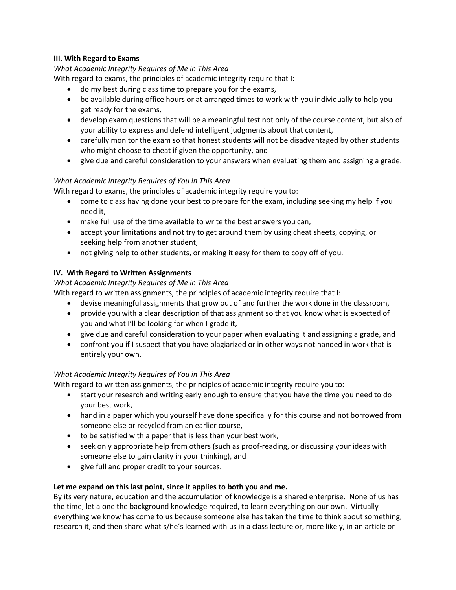# **III. With Regard to Exams**

## *What Academic Integrity Requires of Me in This Area*

With regard to exams, the principles of academic integrity require that I:

- do my best during class time to prepare you for the exams,
- be available during office hours or at arranged times to work with you individually to help you get ready for the exams,
- develop exam questions that will be a meaningful test not only of the course content, but also of your ability to express and defend intelligent judgments about that content,
- carefully monitor the exam so that honest students will not be disadvantaged by other students who might choose to cheat if given the opportunity, and
- give due and careful consideration to your answers when evaluating them and assigning a grade.

# *What Academic Integrity Requires of You in This Area*

With regard to exams, the principles of academic integrity require you to:

- come to class having done your best to prepare for the exam, including seeking my help if you need it,
- make full use of the time available to write the best answers you can,
- accept your limitations and not try to get around them by using cheat sheets, copying, or seeking help from another student,
- not giving help to other students, or making it easy for them to copy off of you.

# **IV. With Regard to Written Assignments**

# *What Academic Integrity Requires of Me in This Area*

With regard to written assignments, the principles of academic integrity require that I:

- devise meaningful assignments that grow out of and further the work done in the classroom,
- provide you with a clear description of that assignment so that you know what is expected of you and what I'll be looking for when I grade it,
- give due and careful consideration to your paper when evaluating it and assigning a grade, and
- confront you if I suspect that you have plagiarized or in other ways not handed in work that is entirely your own.

## *What Academic Integrity Requires of You in This Area*

With regard to written assignments, the principles of academic integrity require you to:

- start your research and writing early enough to ensure that you have the time you need to do your best work,
- hand in a paper which you yourself have done specifically for this course and not borrowed from someone else or recycled from an earlier course,
- to be satisfied with a paper that is less than your best work,
- seek only appropriate help from others (such as proof-reading, or discussing your ideas with someone else to gain clarity in your thinking), and
- give full and proper credit to your sources.

## **Let me expand on this last point, since it applies to both you and me.**

By its very nature, education and the accumulation of knowledge is a shared enterprise. None of us has the time, let alone the background knowledge required, to learn everything on our own. Virtually everything we know has come to us because someone else has taken the time to think about something, research it, and then share what s/he's learned with us in a class lecture or, more likely, in an article or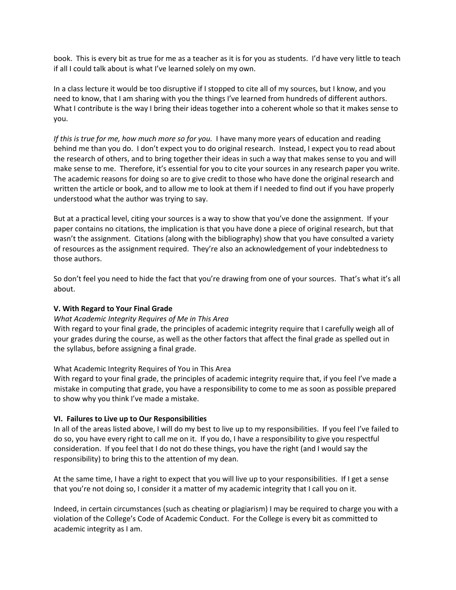book. This is every bit as true for me as a teacher as it is for you as students. I'd have very little to teach if all I could talk about is what I've learned solely on my own.

In a class lecture it would be too disruptive if I stopped to cite all of my sources, but I know, and you need to know, that I am sharing with you the things I've learned from hundreds of different authors. What I contribute is the way I bring their ideas together into a coherent whole so that it makes sense to you.

*If this is true for me, how much more so for you.* I have many more years of education and reading behind me than you do. I don't expect you to do original research. Instead, I expect you to read about the research of others, and to bring together their ideas in such a way that makes sense to you and will make sense to me. Therefore, it's essential for you to cite your sources in any research paper you write. The academic reasons for doing so are to give credit to those who have done the original research and written the article or book, and to allow me to look at them if I needed to find out if you have properly understood what the author was trying to say.

But at a practical level, citing your sources is a way to show that you've done the assignment. If your paper contains no citations, the implication is that you have done a piece of original research, but that wasn't the assignment. Citations (along with the bibliography) show that you have consulted a variety of resources as the assignment required. They're also an acknowledgement of your indebtedness to those authors.

So don't feel you need to hide the fact that you're drawing from one of your sources. That's what it's all about.

## **V. With Regard to Your Final Grade**

#### *What Academic Integrity Requires of Me in This Area*

With regard to your final grade, the principles of academic integrity require that I carefully weigh all of your grades during the course, as well as the other factors that affect the final grade as spelled out in the syllabus, before assigning a final grade.

## What Academic Integrity Requires of You in This Area

With regard to your final grade, the principles of academic integrity require that, if you feel I've made a mistake in computing that grade, you have a responsibility to come to me as soon as possible prepared to show why you think I've made a mistake.

#### **VI. Failures to Live up to Our Responsibilities**

In all of the areas listed above, I will do my best to live up to my responsibilities. If you feel I've failed to do so, you have every right to call me on it. If you do, I have a responsibility to give you respectful consideration. If you feel that I do not do these things, you have the right (and I would say the responsibility) to bring this to the attention of my dean.

At the same time, I have a right to expect that you will live up to your responsibilities. If I get a sense that you're not doing so, I consider it a matter of my academic integrity that I call you on it.

Indeed, in certain circumstances (such as cheating or plagiarism) I may be required to charge you with a violation of the College's Code of Academic Conduct. For the College is every bit as committed to academic integrity as I am.